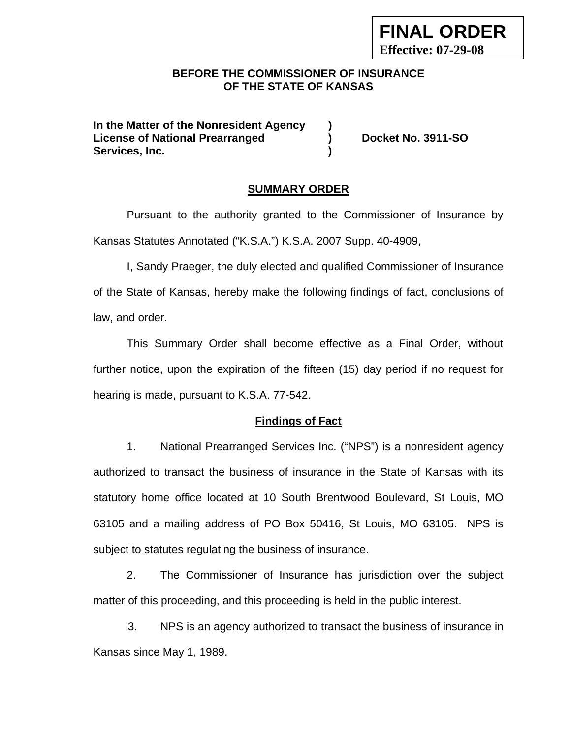### **BEFORE THE COMMISSIONER OF INSURANCE OF THE STATE OF KANSAS**

**In the Matter of the Nonresident Agency ) License of National Prearranged ) Docket No. 3911-SO Services, Inc. )** 

**FINAL ORDER** 

**Effective: 07-29-08**

#### **SUMMARY ORDER**

 Pursuant to the authority granted to the Commissioner of Insurance by Kansas Statutes Annotated ("K.S.A.") K.S.A. 2007 Supp. 40-4909,

 I, Sandy Praeger, the duly elected and qualified Commissioner of Insurance of the State of Kansas, hereby make the following findings of fact, conclusions of law, and order.

This Summary Order shall become effective as a Final Order, without further notice, upon the expiration of the fifteen (15) day period if no request for hearing is made, pursuant to K.S.A. 77-542.

#### **Findings of Fact**

1. National Prearranged Services Inc. ("NPS") is a nonresident agency authorized to transact the business of insurance in the State of Kansas with its statutory home office located at 10 South Brentwood Boulevard, St Louis, MO 63105 and a mailing address of PO Box 50416, St Louis, MO 63105. NPS is subject to statutes regulating the business of insurance.

2. The Commissioner of Insurance has jurisdiction over the subject matter of this proceeding, and this proceeding is held in the public interest.

3. NPS is an agency authorized to transact the business of insurance in Kansas since May 1, 1989.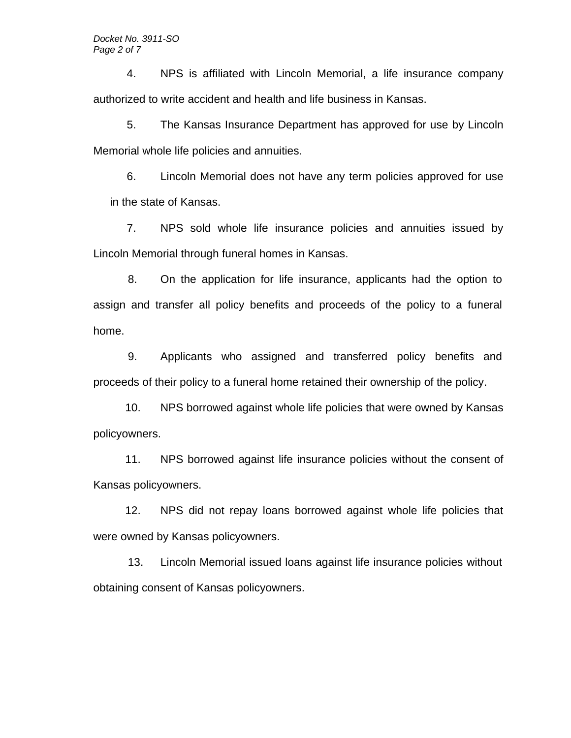4. NPS is affiliated with Lincoln Memorial, a life insurance company authorized to write accident and health and life business in Kansas.

5. The Kansas Insurance Department has approved for use by Lincoln Memorial whole life policies and annuities.

6. Lincoln Memorial does not have any term policies approved for use in the state of Kansas.

 7. NPS sold whole life insurance policies and annuities issued by Lincoln Memorial through funeral homes in Kansas.

8. On the application for life insurance, applicants had the option to assign and transfer all policy benefits and proceeds of the policy to a funeral home.

9. Applicants who assigned and transferred policy benefits and proceeds of their policy to a funeral home retained their ownership of the policy.

10. NPS borrowed against whole life policies that were owned by Kansas policyowners.

11. NPS borrowed against life insurance policies without the consent of Kansas policyowners.

12. NPS did not repay loans borrowed against whole life policies that were owned by Kansas policyowners.

13. Lincoln Memorial issued loans against life insurance policies without obtaining consent of Kansas policyowners.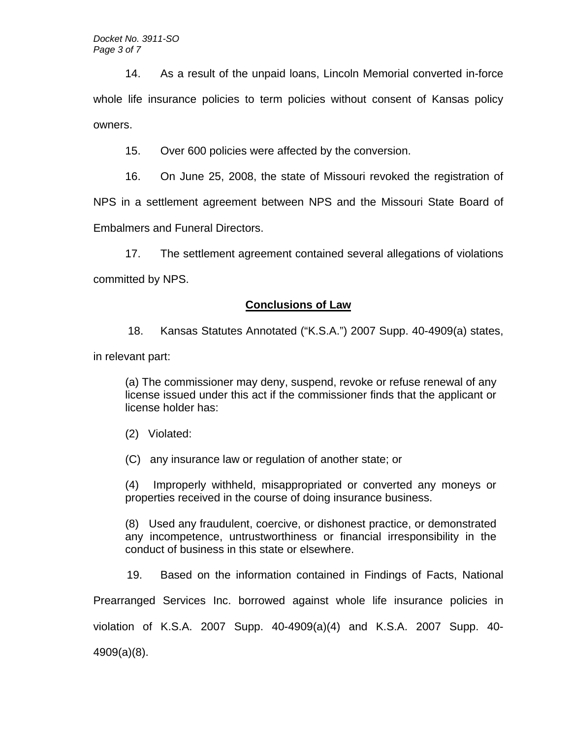14. As a result of the unpaid loans, Lincoln Memorial converted in-force whole life insurance policies to term policies without consent of Kansas policy owners.

15. Over 600 policies were affected by the conversion.

16. On June 25, 2008, the state of Missouri revoked the registration of

NPS in a settlement agreement between NPS and the Missouri State Board of

Embalmers and Funeral Directors.

17. The settlement agreement contained several allegations of violations

committed by NPS.

## **Conclusions of Law**

18. Kansas Statutes Annotated ("K.S.A.") 2007 Supp. 40-4909(a) states,

in relevant part:

(a) The commissioner may deny, suspend, revoke or refuse renewal of any license issued under this act if the commissioner finds that the applicant or license holder has:

(2) Violated:

(C) any insurance law or regulation of another state; or

(4) Improperly withheld, misappropriated or converted any moneys or properties received in the course of doing insurance business.

(8) Used any fraudulent, coercive, or dishonest practice, or demonstrated any incompetence, untrustworthiness or financial irresponsibility in the conduct of business in this state or elsewhere.

19. Based on the information contained in Findings of Facts, National

Prearranged Services Inc. borrowed against whole life insurance policies in

violation of K.S.A. 2007 Supp. 40-4909(a)(4) and K.S.A. 2007 Supp. 40-

4909(a)(8).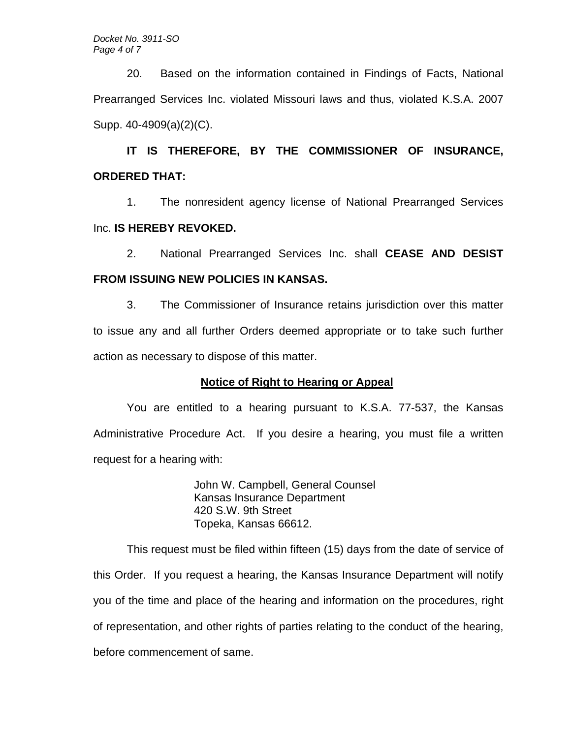20. Based on the information contained in Findings of Facts, National Prearranged Services Inc. violated Missouri laws and thus, violated K.S.A. 2007 Supp. 40-4909(a)(2)(C).

**IT IS THEREFORE, BY THE COMMISSIONER OF INSURANCE, ORDERED THAT:** 

1. The nonresident agency license of National Prearranged Services Inc. **IS HEREBY REVOKED.** 

2. National Prearranged Services Inc. shall **CEASE AND DESIST FROM ISSUING NEW POLICIES IN KANSAS.** 

3. The Commissioner of Insurance retains jurisdiction over this matter to issue any and all further Orders deemed appropriate or to take such further action as necessary to dispose of this matter.

## **Notice of Right to Hearing or Appeal**

You are entitled to a hearing pursuant to K.S.A. 77-537, the Kansas Administrative Procedure Act. If you desire a hearing, you must file a written request for a hearing with:

> John W. Campbell, General Counsel Kansas Insurance Department 420 S.W. 9th Street Topeka, Kansas 66612.

This request must be filed within fifteen (15) days from the date of service of this Order. If you request a hearing, the Kansas Insurance Department will notify you of the time and place of the hearing and information on the procedures, right of representation, and other rights of parties relating to the conduct of the hearing, before commencement of same.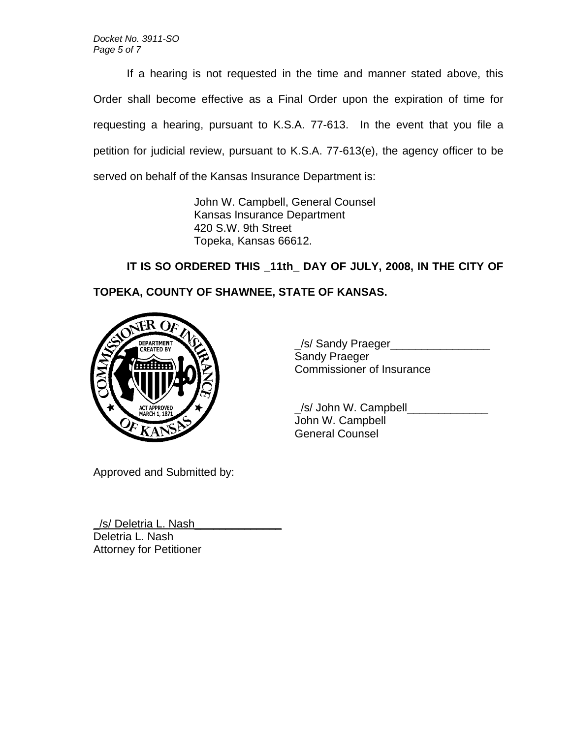If a hearing is not requested in the time and manner stated above, this Order shall become effective as a Final Order upon the expiration of time for requesting a hearing, pursuant to K.S.A. 77-613. In the event that you file a petition for judicial review, pursuant to K.S.A. 77-613(e), the agency officer to be served on behalf of the Kansas Insurance Department is:

> John W. Campbell, General Counsel Kansas Insurance Department 420 S.W. 9th Street Topeka, Kansas 66612.

**IT IS SO ORDERED THIS \_11th\_ DAY OF JULY, 2008, IN THE CITY OF TOPEKA, COUNTY OF SHAWNEE, STATE OF KANSAS.** 



\_/s/ Sandy Praeger\_\_\_\_\_\_\_\_\_\_\_\_\_\_\_\_ Sandy Praeger Commissioner of Insurance

 \_/s/ John W. Campbell\_\_\_\_\_\_\_\_\_\_\_\_\_ John W. Campbell General Counsel

Approved and Submitted by:

\_/s/ Deletria L. Nash\_\_\_\_\_\_\_\_\_\_\_\_\_\_ Deletria L. Nash Attorney for Petitioner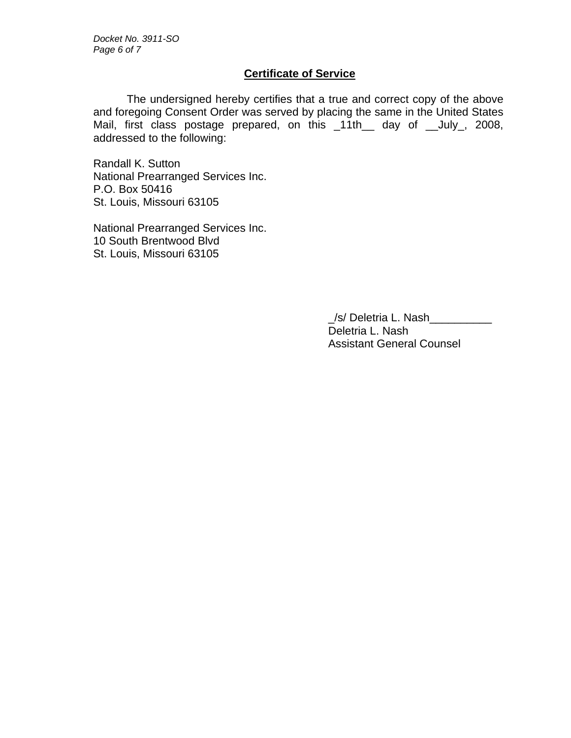# **Certificate of Service**

 The undersigned hereby certifies that a true and correct copy of the above and foregoing Consent Order was served by placing the same in the United States Mail, first class postage prepared, on this \_11th\_\_ day of \_\_July\_, 2008, addressed to the following:

Randall K. Sutton National Prearranged Services Inc. P.O. Box 50416 St. Louis, Missouri 63105

National Prearranged Services Inc. 10 South Brentwood Blvd St. Louis, Missouri 63105

> \_/s/ Deletria L. Nash\_\_\_\_\_\_\_\_\_\_ Deletria L. Nash Assistant General Counsel